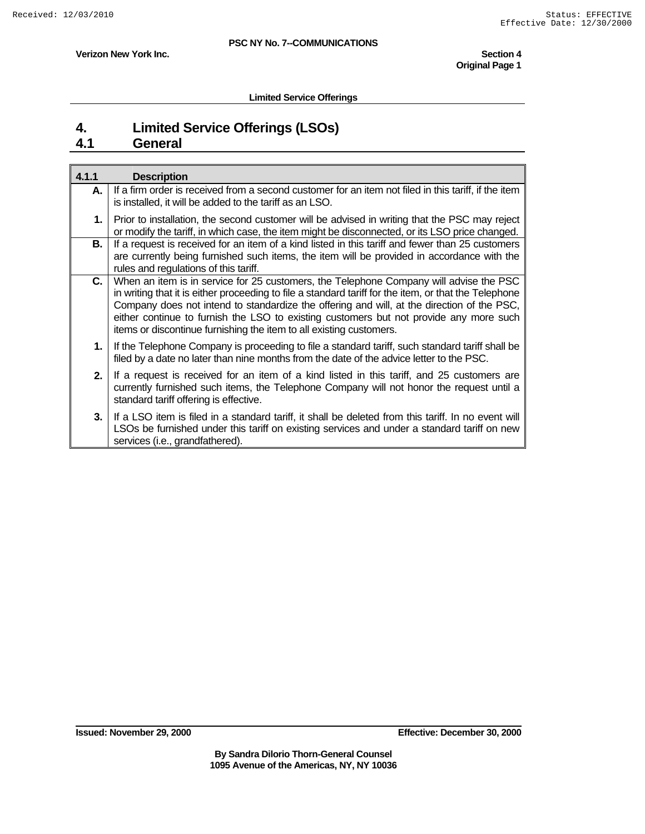**Verizon New York Inc.** Section 4 **1 Verizon New York Inc. Original Page 1** 

**Limited Service Offerings** 

## **4. Limited Service Offerings (LSOs)**

## **4.1 General**

| 4.1.1 | <b>Description</b>                                                                                                                                                                                                                                                                                                                                                                                                                                             |
|-------|----------------------------------------------------------------------------------------------------------------------------------------------------------------------------------------------------------------------------------------------------------------------------------------------------------------------------------------------------------------------------------------------------------------------------------------------------------------|
| А.    | If a firm order is received from a second customer for an item not filed in this tariff, if the item<br>is installed, it will be added to the tariff as an LSO.                                                                                                                                                                                                                                                                                                |
| 1.    | Prior to installation, the second customer will be advised in writing that the PSC may reject<br>or modify the tariff, in which case, the item might be disconnected, or its LSO price changed.                                                                                                                                                                                                                                                                |
| В.    | If a request is received for an item of a kind listed in this tariff and fewer than 25 customers<br>are currently being furnished such items, the item will be provided in accordance with the<br>rules and regulations of this tariff.                                                                                                                                                                                                                        |
| C.    | When an item is in service for 25 customers, the Telephone Company will advise the PSC<br>in writing that it is either proceeding to file a standard tariff for the item, or that the Telephone<br>Company does not intend to standardize the offering and will, at the direction of the PSC,<br>either continue to furnish the LSO to existing customers but not provide any more such<br>items or discontinue furnishing the item to all existing customers. |
|       | 1. If the Telephone Company is proceeding to file a standard tariff, such standard tariff shall be<br>filed by a date no later than nine months from the date of the advice letter to the PSC.                                                                                                                                                                                                                                                                 |
| 2.    | If a request is received for an item of a kind listed in this tariff, and 25 customers are<br>currently furnished such items, the Telephone Company will not honor the request until a<br>standard tariff offering is effective.                                                                                                                                                                                                                               |
| 3.    | If a LSO item is filed in a standard tariff, it shall be deleted from this tariff. In no event will<br>LSOs be furnished under this tariff on existing services and under a standard tariff on new<br>services (i.e., grandfathered).                                                                                                                                                                                                                          |